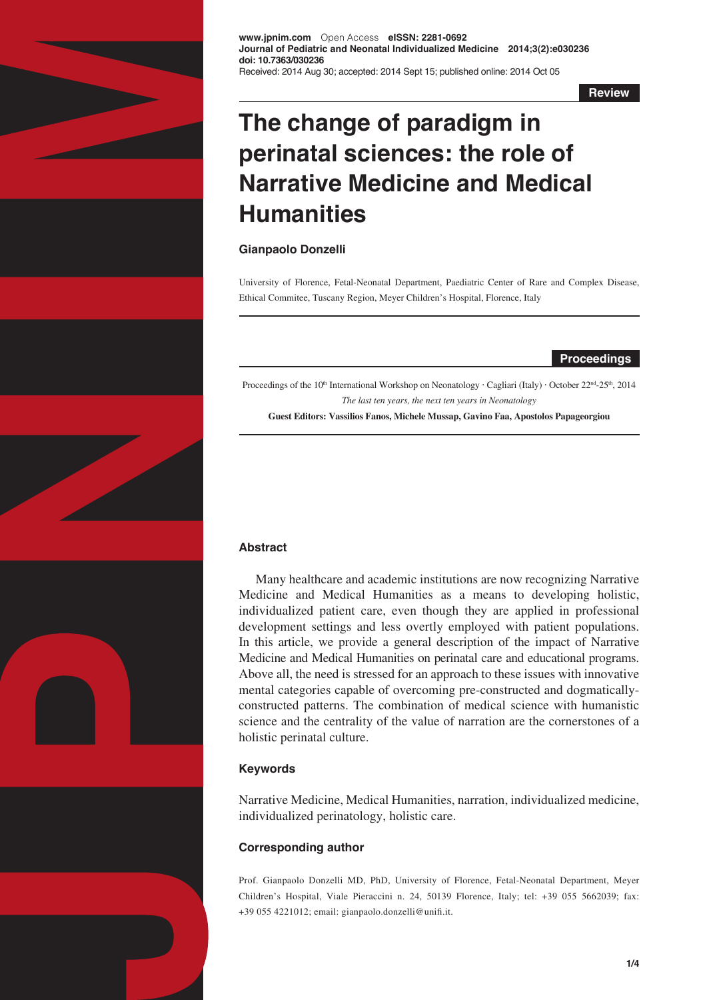

**www.jpnim.com** Open Access **eISSN: 2281-0692 Journal of Pediatric and Neonatal Individualized Medicine 2014;3(2):e030236 doi: 10.7363/030236** Received: 2014 Aug 30; accepted: 2014 Sept 15; published online: 2014 Oct 05

**Review**

# **The change of paradigm in perinatal sciences: the role of Narrative Medicine and Medical Humanities**

# **Gianpaolo Donzelli**

University of Florence, Fetal-Neonatal Department, Paediatric Center of Rare and Complex Disease, Ethical Commitee, Tuscany Region, Meyer Children's Hospital, Florence, Italy

## **Proceedings**

Proceedings of the 10<sup>th</sup> International Workshop on Neonatology · Cagliari (Italy) · October 22<sup>nd</sup>-25<sup>th</sup>, 2014 *The last ten years, the next ten years in Neonatology*

**Guest Editors: Vassilios Fanos, Michele Mussap, Gavino Faa, Apostolos Papageorgiou**

# **Abstract**

Many healthcare and academic institutions are now recognizing Narrative Medicine and Medical Humanities as a means to developing holistic, individualized patient care, even though they are applied in professional development settings and less overtly employed with patient populations. In this article, we provide a general description of the impact of Narrative Medicine and Medical Humanities on perinatal care and educational programs. Above all, the need is stressed for an approach to these issues with innovative mental categories capable of overcoming pre-constructed and dogmaticallyconstructed patterns. The combination of medical science with humanistic science and the centrality of the value of narration are the cornerstones of a holistic perinatal culture.

# **Keywords**

Narrative Medicine, Medical Humanities, narration, individualized medicine, individualized perinatology, holistic care.

# **Corresponding author**

Prof. Gianpaolo Donzelli MD, PhD, University of Florence, Fetal-Neonatal Department, Meyer Children's Hospital, Viale Pieraccini n. 24, 50139 Florence, Italy; tel: +39 055 5662039; fax: +39 055 4221012; email: gianpaolo.donzelli@unifi.it.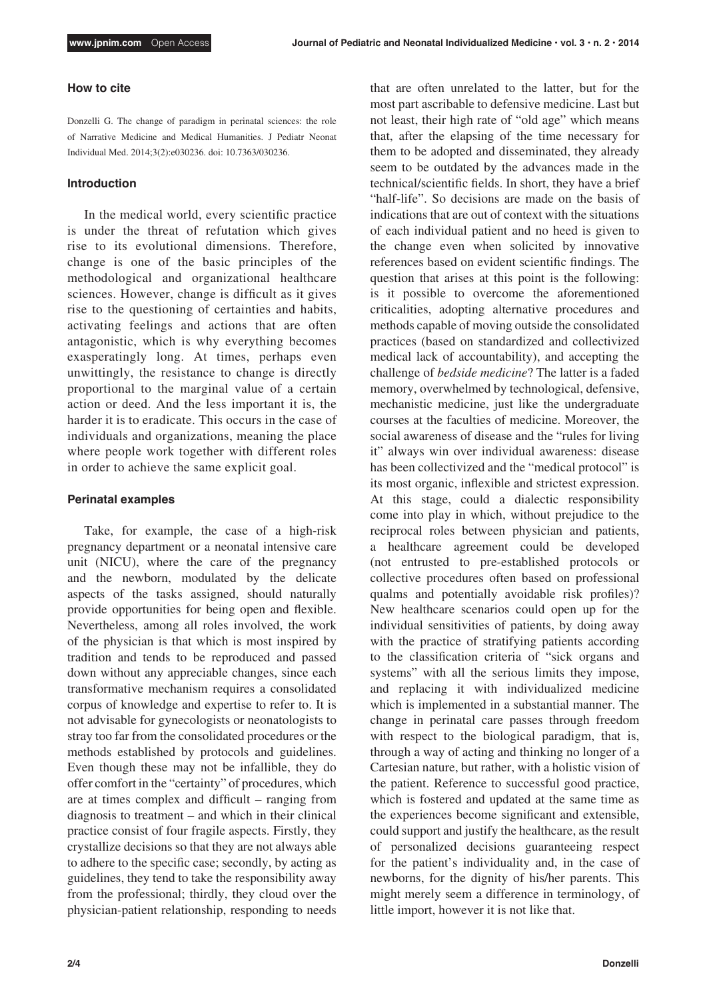#### **How to cite**

Donzelli G. The change of paradigm in perinatal sciences: the role of Narrative Medicine and Medical Humanities. J Pediatr Neonat Individual Med. 2014;3(2):e030236. doi: 10.7363/030236.

#### **Introduction**

In the medical world, every scientific practice is under the threat of refutation which gives rise to its evolutional dimensions. Therefore, change is one of the basic principles of the methodological and organizational healthcare sciences. However, change is difficult as it gives rise to the questioning of certainties and habits, activating feelings and actions that are often antagonistic, which is why everything becomes exasperatingly long. At times, perhaps even unwittingly, the resistance to change is directly proportional to the marginal value of a certain action or deed. And the less important it is, the harder it is to eradicate. This occurs in the case of individuals and organizations, meaning the place where people work together with different roles in order to achieve the same explicit goal.

#### **Perinatal examples**

Take, for example, the case of a high-risk pregnancy department or a neonatal intensive care unit (NICU), where the care of the pregnancy and the newborn, modulated by the delicate aspects of the tasks assigned, should naturally provide opportunities for being open and flexible. Nevertheless, among all roles involved, the work of the physician is that which is most inspired by tradition and tends to be reproduced and passed down without any appreciable changes, since each transformative mechanism requires a consolidated corpus of knowledge and expertise to refer to. It is not advisable for gynecologists or neonatologists to stray too far from the consolidated procedures or the methods established by protocols and guidelines. Even though these may not be infallible, they do offer comfort in the "certainty" of procedures, which are at times complex and difficult – ranging from diagnosis to treatment – and which in their clinical practice consist of four fragile aspects. Firstly, they crystallize decisions so that they are not always able to adhere to the specific case; secondly, by acting as guidelines, they tend to take the responsibility away from the professional; thirdly, they cloud over the physician-patient relationship, responding to needs that are often unrelated to the latter, but for the most part ascribable to defensive medicine. Last but not least, their high rate of "old age" which means that, after the elapsing of the time necessary for them to be adopted and disseminated, they already seem to be outdated by the advances made in the technical/scientific fields. In short, they have a brief "half-life". So decisions are made on the basis of indications that are out of context with the situations of each individual patient and no heed is given to the change even when solicited by innovative references based on evident scientific findings. The question that arises at this point is the following: is it possible to overcome the aforementioned criticalities, adopting alternative procedures and methods capable of moving outside the consolidated practices (based on standardized and collectivized medical lack of accountability), and accepting the challenge of *bedside medicine*? The latter is a faded memory, overwhelmed by technological, defensive, mechanistic medicine, just like the undergraduate courses at the faculties of medicine. Moreover, the social awareness of disease and the "rules for living it" always win over individual awareness: disease has been collectivized and the "medical protocol" is its most organic, inflexible and strictest expression. At this stage, could a dialectic responsibility come into play in which, without prejudice to the reciprocal roles between physician and patients, a healthcare agreement could be developed (not entrusted to pre-established protocols or collective procedures often based on professional qualms and potentially avoidable risk profiles)? New healthcare scenarios could open up for the individual sensitivities of patients, by doing away with the practice of stratifying patients according to the classification criteria of "sick organs and systems" with all the serious limits they impose, and replacing it with individualized medicine which is implemented in a substantial manner. The change in perinatal care passes through freedom with respect to the biological paradigm, that is, through a way of acting and thinking no longer of a Cartesian nature, but rather, with a holistic vision of the patient. Reference to successful good practice, which is fostered and updated at the same time as the experiences become significant and extensible, could support and justify the healthcare, as the result of personalized decisions guaranteeing respect for the patient's individuality and, in the case of newborns, for the dignity of his/her parents. This might merely seem a difference in terminology, of little import, however it is not like that.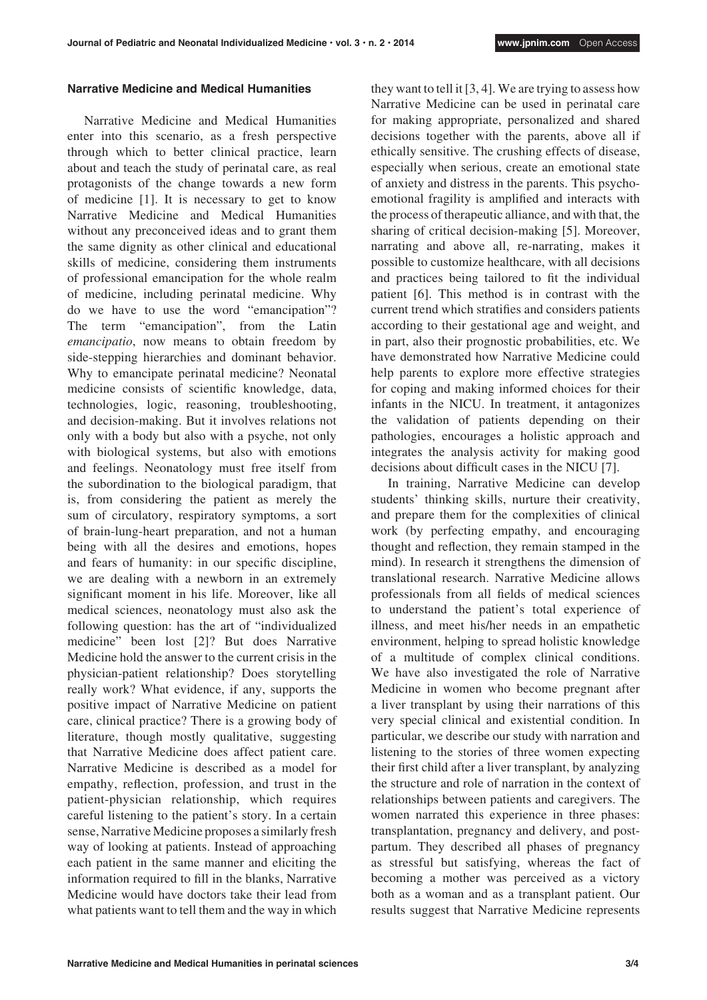#### **Narrative Medicine and Medical Humanities**

Narrative Medicine and Medical Humanities enter into this scenario, as a fresh perspective through which to better clinical practice, learn about and teach the study of perinatal care, as real protagonists of the change towards a new form of medicine [1]. It is necessary to get to know Narrative Medicine and Medical Humanities without any preconceived ideas and to grant them the same dignity as other clinical and educational skills of medicine, considering them instruments of professional emancipation for the whole realm of medicine, including perinatal medicine. Why do we have to use the word "emancipation"? The term "emancipation", from the Latin *emancipatio*, now means to obtain freedom by side-stepping hierarchies and dominant behavior. Why to emancipate perinatal medicine? Neonatal medicine consists of scientific knowledge, data, technologies, logic, reasoning, troubleshooting, and decision-making. But it involves relations not only with a body but also with a psyche, not only with biological systems, but also with emotions and feelings. Neonatology must free itself from the subordination to the biological paradigm, that is, from considering the patient as merely the sum of circulatory, respiratory symptoms, a sort of brain-lung-heart preparation, and not a human being with all the desires and emotions, hopes and fears of humanity: in our specific discipline, we are dealing with a newborn in an extremely significant moment in his life. Moreover, like all medical sciences, neonatology must also ask the following question: has the art of "individualized medicine" been lost [2]? But does Narrative Medicine hold the answer to the current crisis in the physician-patient relationship? Does storytelling really work? What evidence, if any, supports the positive impact of Narrative Medicine on patient care, clinical practice? There is a growing body of literature, though mostly qualitative, suggesting that Narrative Medicine does affect patient care. Narrative Medicine is described as a model for empathy, reflection, profession, and trust in the patient-physician relationship, which requires careful listening to the patient's story. In a certain sense, Narrative Medicine proposes a similarly fresh way of looking at patients. Instead of approaching each patient in the same manner and eliciting the information required to fill in the blanks, Narrative Medicine would have doctors take their lead from what patients want to tell them and the way in which

they want to tell it [3, 4]. We are trying to assess how Narrative Medicine can be used in perinatal care for making appropriate, personalized and shared decisions together with the parents, above all if ethically sensitive. The crushing effects of disease, especially when serious, create an emotional state of anxiety and distress in the parents. This psychoemotional fragility is amplified and interacts with the process of therapeutic alliance, and with that, the sharing of critical decision-making [5]. Moreover, narrating and above all, re-narrating, makes it possible to customize healthcare, with all decisions and practices being tailored to fit the individual patient [6]. This method is in contrast with the current trend which stratifies and considers patients according to their gestational age and weight, and in part, also their prognostic probabilities, etc. We have demonstrated how Narrative Medicine could help parents to explore more effective strategies for coping and making informed choices for their infants in the NICU. In treatment, it antagonizes the validation of patients depending on their pathologies, encourages a holistic approach and integrates the analysis activity for making good decisions about difficult cases in the NICU [7].

In training, Narrative Medicine can develop students' thinking skills, nurture their creativity, and prepare them for the complexities of clinical work (by perfecting empathy, and encouraging thought and reflection, they remain stamped in the mind). In research it strengthens the dimension of translational research. Narrative Medicine allows professionals from all fields of medical sciences to understand the patient's total experience of illness, and meet his/her needs in an empathetic environment, helping to spread holistic knowledge of a multitude of complex clinical conditions. We have also investigated the role of Narrative Medicine in women who become pregnant after a liver transplant by using their narrations of this very special clinical and existential condition. In particular, we describe our study with narration and listening to the stories of three women expecting their first child after a liver transplant, by analyzing the structure and role of narration in the context of relationships between patients and caregivers. The women narrated this experience in three phases: transplantation, pregnancy and delivery, and postpartum. They described all phases of pregnancy as stressful but satisfying, whereas the fact of becoming a mother was perceived as a victory both as a woman and as a transplant patient. Our results suggest that Narrative Medicine represents